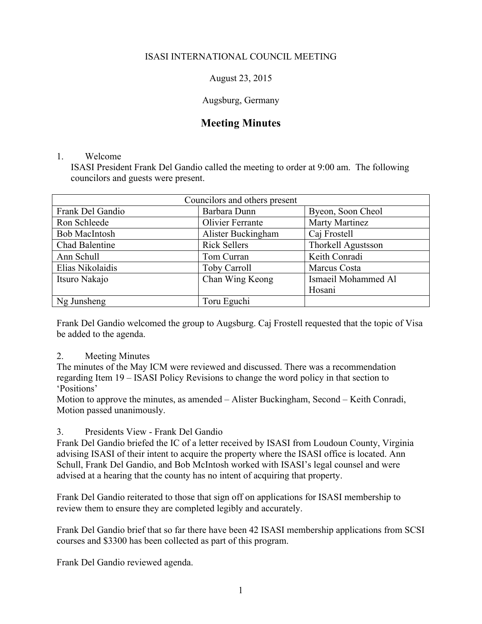# ISASI INTERNATIONAL COUNCIL MEETING

August 23, 2015

Augsburg, Germany

# **Meeting Minutes**

#### 1. Welcome

ISASI President Frank Del Gandio called the meeting to order at 9:00 am. The following councilors and guests were present.

| Councilors and others present |                     |                     |
|-------------------------------|---------------------|---------------------|
| Frank Del Gandio              | Barbara Dunn        | Byeon, Soon Cheol   |
| Ron Schleede                  | Olivier Ferrante    | Marty Martinez      |
| <b>Bob MacIntosh</b>          | Alister Buckingham  | Caj Frostell        |
| Chad Balentine                | <b>Rick Sellers</b> | Thorkell Agustsson  |
| Ann Schull                    | Tom Curran          | Keith Conradi       |
| Elias Nikolaidis              | <b>Toby Carroll</b> | Marcus Costa        |
| Itsuro Nakajo                 | Chan Wing Keong     | Ismaeil Mohammed Al |
|                               |                     | Hosani              |
| Ng Junsheng                   | Toru Eguchi         |                     |

Frank Del Gandio welcomed the group to Augsburg. Caj Frostell requested that the topic of Visa be added to the agenda.

## 2. Meeting Minutes

The minutes of the May ICM were reviewed and discussed. There was a recommendation regarding Item 19 – ISASI Policy Revisions to change the word policy in that section to 'Positions'

Motion to approve the minutes, as amended – Alister Buckingham, Second – Keith Conradi, Motion passed unanimously.

## 3. Presidents View - Frank Del Gandio

Frank Del Gandio briefed the IC of a letter received by ISASI from Loudoun County, Virginia advising ISASI of their intent to acquire the property where the ISASI office is located. Ann Schull, Frank Del Gandio, and Bob McIntosh worked with ISASI's legal counsel and were advised at a hearing that the county has no intent of acquiring that property.

Frank Del Gandio reiterated to those that sign off on applications for ISASI membership to review them to ensure they are completed legibly and accurately.

Frank Del Gandio brief that so far there have been 42 ISASI membership applications from SCSI courses and \$3300 has been collected as part of this program.

Frank Del Gandio reviewed agenda.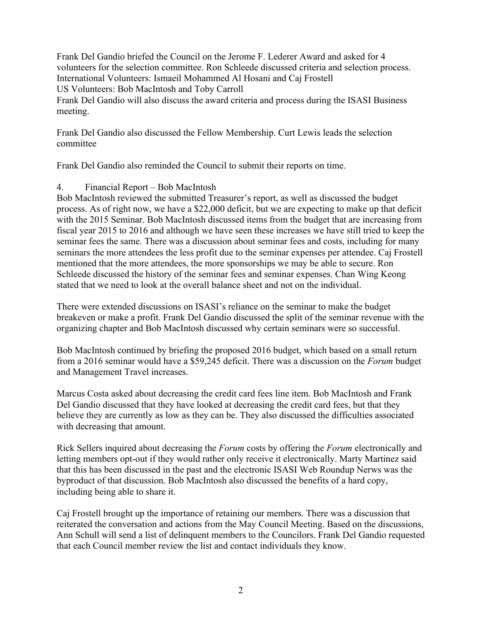Frank Del Gandio briefed the Council on the Jerome F. Lederer Award and asked for 4 volunteers for the selection committee. Ron Schleede discussed criteria and selection process. International Volunteers: Ismaeil Mohammed Al Hosani and Caj Frostell US Volunteers: Bob MacIntosh and Toby Carroll Frank Del Gandio will also discuss the award criteria and process during the ISASI Business

meeting.

Frank Del Gandio also discussed the Fellow Membership. Curt Lewis leads the selection committee

Frank Del Gandio also reminded the Council to submit their reports on time.

## 4. Financial Report – Bob MacIntosh

Bob MacIntosh reviewed the submitted Treasurer's report, as well as discussed the budget process. As of right now, we have a \$22,000 deficit, but we are expecting to make up that deficit with the 2015 Seminar. Bob MacIntosh discussed items from the budget that are increasing from fiscal year 2015 to 2016 and although we have seen these increases we have still tried to keep the seminar fees the same. There was a discussion about seminar fees and costs, including for many seminars the more attendees the less profit due to the seminar expenses per attendee. Caj Frostell mentioned that the more attendees, the more sponsorships we may be able to secure. Ron Schleede discussed the history of the seminar fees and seminar expenses. Chan Wing Keong stated that we need to look at the overall balance sheet and not on the individual.

There were extended discussions on ISASI's reliance on the seminar to make the budget breakeven or make a profit. Frank Del Gandio discussed the split of the seminar revenue with the organizing chapter and Bob MacIntosh discussed why certain seminars were so successful.

Bob MacIntosh continued by briefing the proposed 2016 budget, which based on a small return from a 2016 seminar would have a \$59,245 deficit. There was a discussion on the *Forum* budget and Management Travel increases.

Marcus Costa asked about decreasing the credit card fees line item. Bob MacIntosh and Frank Del Gandio discussed that they have looked at decreasing the credit card fees, but that they believe they are currently as low as they can be. They also discussed the difficulties associated with decreasing that amount.

Rick Sellers inquired about decreasing the *Forum* costs by offering the *Forum* electronically and letting members opt-out if they would rather only receive it electronically. Marty Martinez said that this has been discussed in the past and the electronic ISASI Web Roundup Nerws was the byproduct of that discussion. Bob MacIntosh also discussed the benefits of a hard copy, including being able to share it.

Caj Frostell brought up the importance of retaining our members. There was a discussion that reiterated the conversation and actions from the May Council Meeting. Based on the discussions, Ann Schull will send a list of delinquent members to the Councilors. Frank Del Gandio requested that each Council member review the list and contact individuals they know.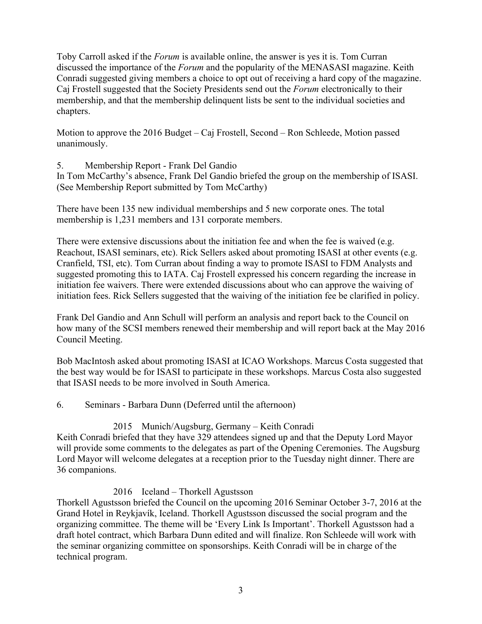Toby Carroll asked if the *Forum* is available online, the answer is yes it is. Tom Curran discussed the importance of the *Forum* and the popularity of the MENASASI magazine. Keith Conradi suggested giving members a choice to opt out of receiving a hard copy of the magazine. Caj Frostell suggested that the Society Presidents send out the *Forum* electronically to their membership, and that the membership delinquent lists be sent to the individual societies and chapters.

Motion to approve the 2016 Budget – Caj Frostell, Second – Ron Schleede, Motion passed unanimously.

5. Membership Report - Frank Del Gandio

In Tom McCarthy's absence, Frank Del Gandio briefed the group on the membership of ISASI. (See Membership Report submitted by Tom McCarthy)

There have been 135 new individual memberships and 5 new corporate ones. The total membership is 1,231 members and 131 corporate members.

There were extensive discussions about the initiation fee and when the fee is waived (e.g. Reachout, ISASI seminars, etc). Rick Sellers asked about promoting ISASI at other events (e.g. Cranfield, TSI, etc). Tom Curran about finding a way to promote ISASI to FDM Analysts and suggested promoting this to IATA. Caj Frostell expressed his concern regarding the increase in initiation fee waivers. There were extended discussions about who can approve the waiving of initiation fees. Rick Sellers suggested that the waiving of the initiation fee be clarified in policy.

Frank Del Gandio and Ann Schull will perform an analysis and report back to the Council on how many of the SCSI members renewed their membership and will report back at the May 2016 Council Meeting.

Bob MacIntosh asked about promoting ISASI at ICAO Workshops. Marcus Costa suggested that the best way would be for ISASI to participate in these workshops. Marcus Costa also suggested that ISASI needs to be more involved in South America.

6. Seminars - Barbara Dunn (Deferred until the afternoon)

# 2015 Munich/Augsburg, Germany – Keith Conradi

Keith Conradi briefed that they have 329 attendees signed up and that the Deputy Lord Mayor will provide some comments to the delegates as part of the Opening Ceremonies. The Augsburg Lord Mayor will welcome delegates at a reception prior to the Tuesday night dinner. There are 36 companions.

# 2016 Iceland – Thorkell Agustsson

Thorkell Agustsson briefed the Council on the upcoming 2016 Seminar October 3-7, 2016 at the Grand Hotel in Reykjavík, Iceland. Thorkell Agustsson discussed the social program and the organizing committee. The theme will be 'Every Link Is Important'. Thorkell Agustsson had a draft hotel contract, which Barbara Dunn edited and will finalize. Ron Schleede will work with the seminar organizing committee on sponsorships. Keith Conradi will be in charge of the technical program.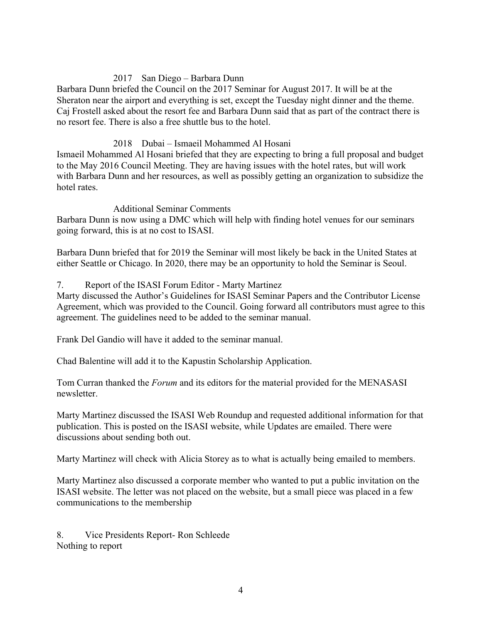## 2017 San Diego – Barbara Dunn

Barbara Dunn briefed the Council on the 2017 Seminar for August 2017. It will be at the Sheraton near the airport and everything is set, except the Tuesday night dinner and the theme. Caj Frostell asked about the resort fee and Barbara Dunn said that as part of the contract there is no resort fee. There is also a free shuttle bus to the hotel.

### 2018 Dubai – Ismaeil Mohammed Al Hosani

Ismaeil Mohammed Al Hosani briefed that they are expecting to bring a full proposal and budget to the May 2016 Council Meeting. They are having issues with the hotel rates, but will work with Barbara Dunn and her resources, as well as possibly getting an organization to subsidize the hotel rates.

#### Additional Seminar Comments

Barbara Dunn is now using a DMC which will help with finding hotel venues for our seminars going forward, this is at no cost to ISASI.

Barbara Dunn briefed that for 2019 the Seminar will most likely be back in the United States at either Seattle or Chicago. In 2020, there may be an opportunity to hold the Seminar is Seoul.

#### 7. Report of the ISASI Forum Editor - Marty Martinez

Marty discussed the Author's Guidelines for ISASI Seminar Papers and the Contributor License Agreement, which was provided to the Council. Going forward all contributors must agree to this agreement. The guidelines need to be added to the seminar manual.

Frank Del Gandio will have it added to the seminar manual.

Chad Balentine will add it to the Kapustin Scholarship Application.

Tom Curran thanked the *Forum* and its editors for the material provided for the MENASASI newsletter.

Marty Martinez discussed the ISASI Web Roundup and requested additional information for that publication. This is posted on the ISASI website, while Updates are emailed. There were discussions about sending both out.

Marty Martinez will check with Alicia Storey as to what is actually being emailed to members.

Marty Martinez also discussed a corporate member who wanted to put a public invitation on the ISASI website. The letter was not placed on the website, but a small piece was placed in a few communications to the membership

8. Vice Presidents Report- Ron Schleede Nothing to report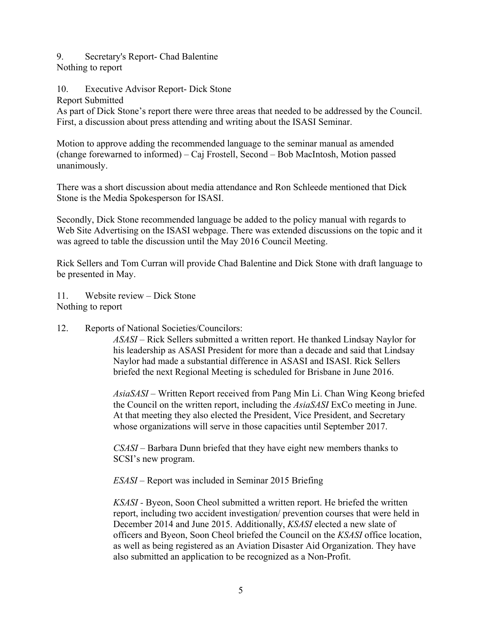#### 9. Secretary's Report- Chad Balentine Nothing to report

# 10. Executive Advisor Report- Dick Stone

Report Submitted

As part of Dick Stone's report there were three areas that needed to be addressed by the Council. First, a discussion about press attending and writing about the ISASI Seminar.

Motion to approve adding the recommended language to the seminar manual as amended (change forewarned to informed) – Caj Frostell, Second – Bob MacIntosh, Motion passed unanimously.

There was a short discussion about media attendance and Ron Schleede mentioned that Dick Stone is the Media Spokesperson for ISASI.

Secondly, Dick Stone recommended language be added to the policy manual with regards to Web Site Advertising on the ISASI webpage. There was extended discussions on the topic and it was agreed to table the discussion until the May 2016 Council Meeting.

Rick Sellers and Tom Curran will provide Chad Balentine and Dick Stone with draft language to be presented in May.

11. Website review – Dick Stone Nothing to report

12. Reports of National Societies/Councilors:

*ASASI –* Rick Sellers submitted a written report. He thanked Lindsay Naylor for his leadership as ASASI President for more than a decade and said that Lindsay Naylor had made a substantial difference in ASASI and ISASI. Rick Sellers briefed the next Regional Meeting is scheduled for Brisbane in June 2016.

*AsiaSASI* – Written Report received from Pang Min Li. Chan Wing Keong briefed the Council on the written report, including the *AsiaSASI* ExCo meeting in June. At that meeting they also elected the President, Vice President, and Secretary whose organizations will serve in those capacities until September 2017.

*CSASI –* Barbara Dunn briefed that they have eight new members thanks to SCSI's new program.

*ESASI –* Report was included in Seminar 2015 Briefing

*KSASI -* Byeon, Soon Cheol submitted a written report. He briefed the written report, including two accident investigation/ prevention courses that were held in December 2014 and June 2015. Additionally, *KSASI* elected a new slate of officers and Byeon, Soon Cheol briefed the Council on the *KSASI* office location, as well as being registered as an Aviation Disaster Aid Organization. They have also submitted an application to be recognized as a Non-Profit.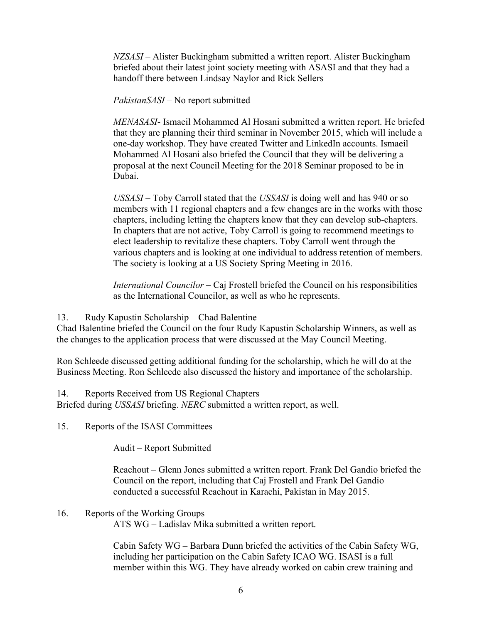*NZSASI –* Alister Buckingham submitted a written report. Alister Buckingham briefed about their latest joint society meeting with ASASI and that they had a handoff there between Lindsay Naylor and Rick Sellers

*PakistanSASI* – No report submitted

*MENASASI*- Ismaeil Mohammed Al Hosani submitted a written report. He briefed that they are planning their third seminar in November 2015, which will include a one-day workshop. They have created Twitter and LinkedIn accounts. Ismaeil Mohammed Al Hosani also briefed the Council that they will be delivering a proposal at the next Council Meeting for the 2018 Seminar proposed to be in Dubai.

*USSASI* – Toby Carroll stated that the *USSASI* is doing well and has 940 or so members with 11 regional chapters and a few changes are in the works with those chapters, including letting the chapters know that they can develop sub-chapters. In chapters that are not active, Toby Carroll is going to recommend meetings to elect leadership to revitalize these chapters. Toby Carroll went through the various chapters and is looking at one individual to address retention of members. The society is looking at a US Society Spring Meeting in 2016.

*International Councilor –* Caj Frostell briefed the Council on his responsibilities as the International Councilor, as well as who he represents.

13. Rudy Kapustin Scholarship – Chad Balentine

Chad Balentine briefed the Council on the four Rudy Kapustin Scholarship Winners, as well as the changes to the application process that were discussed at the May Council Meeting.

Ron Schleede discussed getting additional funding for the scholarship, which he will do at the Business Meeting. Ron Schleede also discussed the history and importance of the scholarship.

14. Reports Received from US Regional Chapters

Briefed during *USSASI* briefing. *NERC* submitted a written report, as well.

15. Reports of the ISASI Committees

Audit – Report Submitted

Reachout – Glenn Jones submitted a written report. Frank Del Gandio briefed the Council on the report, including that Caj Frostell and Frank Del Gandio conducted a successful Reachout in Karachi, Pakistan in May 2015.

#### 16. Reports of the Working Groups

ATS WG – Ladislav Mika submitted a written report.

Cabin Safety WG – Barbara Dunn briefed the activities of the Cabin Safety WG, including her participation on the Cabin Safety ICAO WG. ISASI is a full member within this WG. They have already worked on cabin crew training and